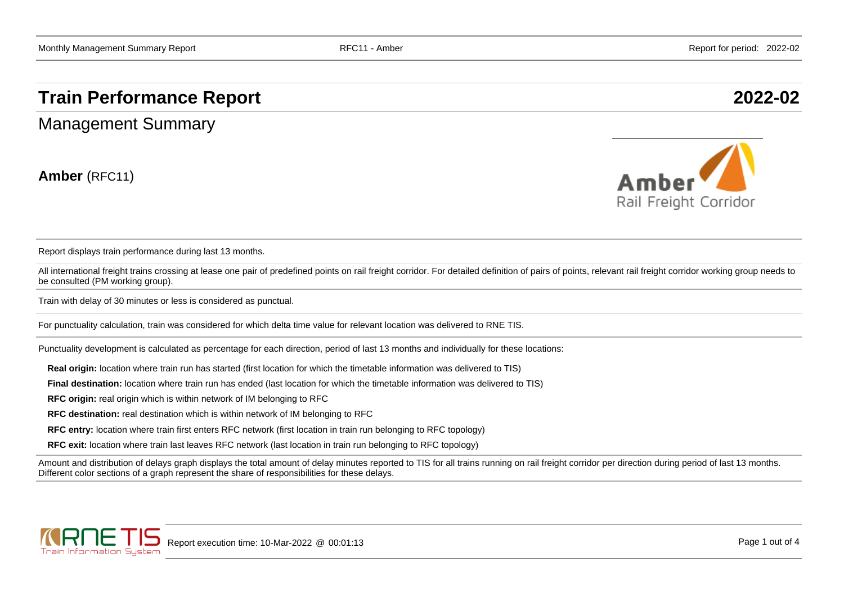# **Train Performance Report 2022-02**

Management Summary

**Amber** (RFC11)



Report displays train performance during last 13 months.

All international freight trains crossing at lease one pair of predefined points on rail freight corridor. For detailed definition of pairs of points, relevant rail freight corridor working group needs to be consulted (PM working group).

Train with delay of 30 minutes or less is considered as punctual.

For punctuality calculation, train was considered for which delta time value for relevant location was delivered to RNE TIS.

Punctuality development is calculated as percentage for each direction, period of last 13 months and individually for these locations:

**Real origin:** location where train run has started (first location for which the timetable information was delivered to TIS)

**Final destination:** location where train run has ended (last location for which the timetable information was delivered to TIS)

**RFC origin:** real origin which is within network of IM belonging to RFC

**RFC destination:** real destination which is within network of IM belonging to RFC

**RFC entry:** location where train first enters RFC network (first location in train run belonging to RFC topology)

**RFC exit:** location where train last leaves RFC network (last location in train run belonging to RFC topology)

Amount and distribution of delays graph displays the total amount of delay minutes reported to TIS for all trains running on rail freight corridor per direction during period of last 13 months. Different color sections of a graph represent the share of responsibilities for these delays.

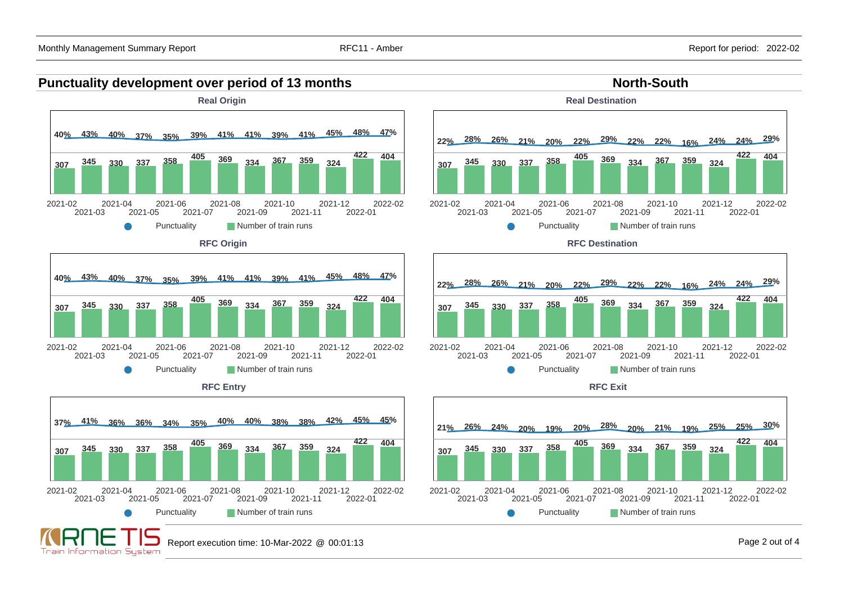#### **Punctuality development over period of 13 months North-South North-South**



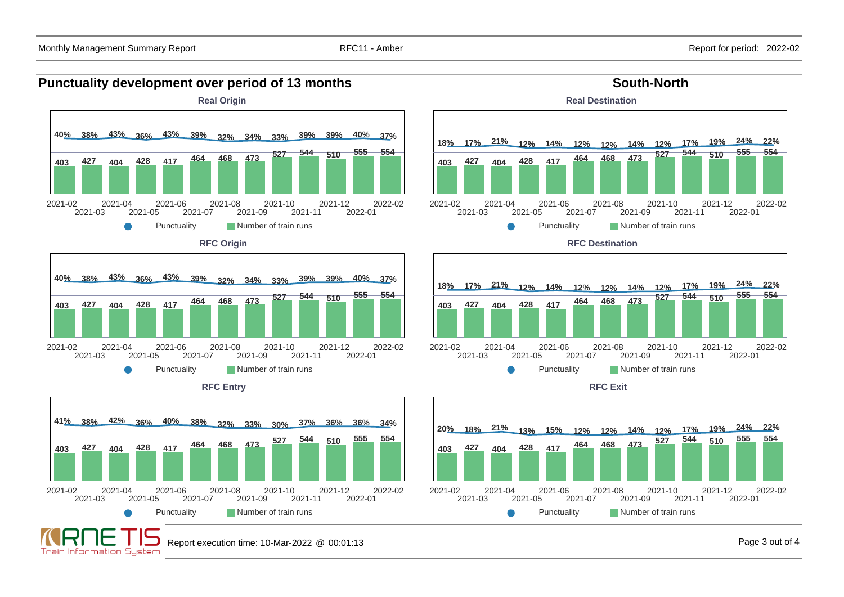Train Information System

#### **Punctuality development over period of 13 months South-North South-North**



Report execution time: 10-Mar-2022 @ 00:01:13 Page 3 out of 4